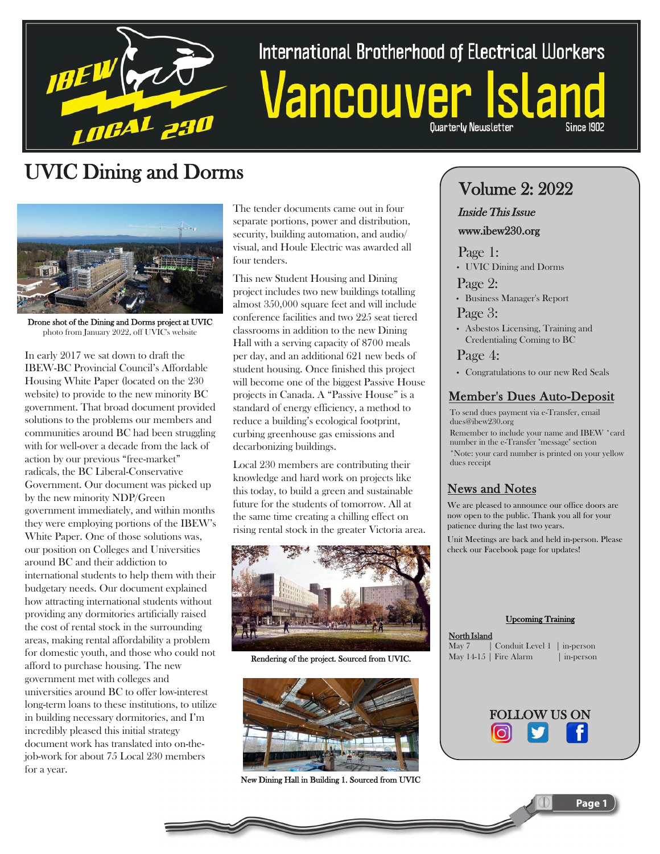

# International Brotherhood of Electrical Workers Vancouver Is

**Ouarterly Newsletter** 

### UVIC Dining and Dorms



Drone shot of the Dining and Dorms project at UVIC photo from January 2022, off UVIC's website

In early 2017 we sat down to draft the IBEW-BC Provincial Council's Affordable Housing White Paper (located on the 230 website) to provide to the new minority BC government. That broad document provided solutions to the problems our members and communities around BC had been struggling with for well-over a decade from the lack of action by our previous "free-market" radicals, the BC Liberal-Conservative Government. Our document was picked up by the new minority NDP/Green government immediately, and within months they were employing portions of the IBEW's White Paper. One of those solutions was, our position on Colleges and Universities around BC and their addiction to international students to help them with their budgetary needs. Our document explained how attracting international students without providing any dormitories artificially raised the cost of rental stock in the surrounding areas, making rental affordability a problem for domestic youth, and those who could not afford to purchase housing. The new government met with colleges and universities around BC to offer low-interest long-term loans to these institutions, to utilize in building necessary dormitories, and I'm incredibly pleased this initial strategy document work has translated into on-thejob-work for about 75 Local 230 members for a year.

The tender documents came out in four separate portions, power and distribution, security, building automation, and audio/ visual, and Houle Electric was awarded all four tenders.

This new Student Housing and Dining project includes two new buildings totalling almost 350,000 square feet and will include conference facilities and two 225 seat tiered classrooms in addition to the new Dining Hall with a serving capacity of 8700 meals per day, and an additional 621 new beds of student housing. Once finished this project will become one of the biggest Passive House projects in Canada. A "Passive House" is a standard of energy efficiency, a method to reduce a building's ecological footprint, curbing greenhouse gas emissions and decarbonizing buildings.

Local 230 members are contributing their knowledge and hard work on projects like this today, to build a green and sustainable future for the students of tomorrow. All at the same time creating a chilling effect on rising rental stock in the greater Victoria area.



Rendering of the project. Sourced from UVIC.



New Dining Hall in Building 1. Sourced from UVIC

### Volume 2: 2022

#### Inside This Issue

#### www.ibew230.org

Page 1: • UVIC Dining and Dorms

Page 2:

• Business Manager's Report

Page 3:

• Asbestos Licensing, Training and Credentialing Coming to BC

Page 4:

• Congratulations to our new Red Seals

#### Member's Dues Auto-Deposit

To send dues payment via e-Transfer, email dues@ibew230.org

Remember to include your name and IBEW \*card number in the e-Transfer "message" section

\*Note: your card number is printed on your yellow dues receipt

#### News and Notes

We are pleased to announce our office doors are now open to the public. Thank you all for your patience during the last two years. Unit Meetings are back and held in-person. Please check our Facebook page for updates!

#### Upcoming Training

| North Island |                                 |           |
|--------------|---------------------------------|-----------|
|              | May 7 Conduit Level 1 in-person |           |
|              | May $14-15$   Fire Alarm        | in-person |



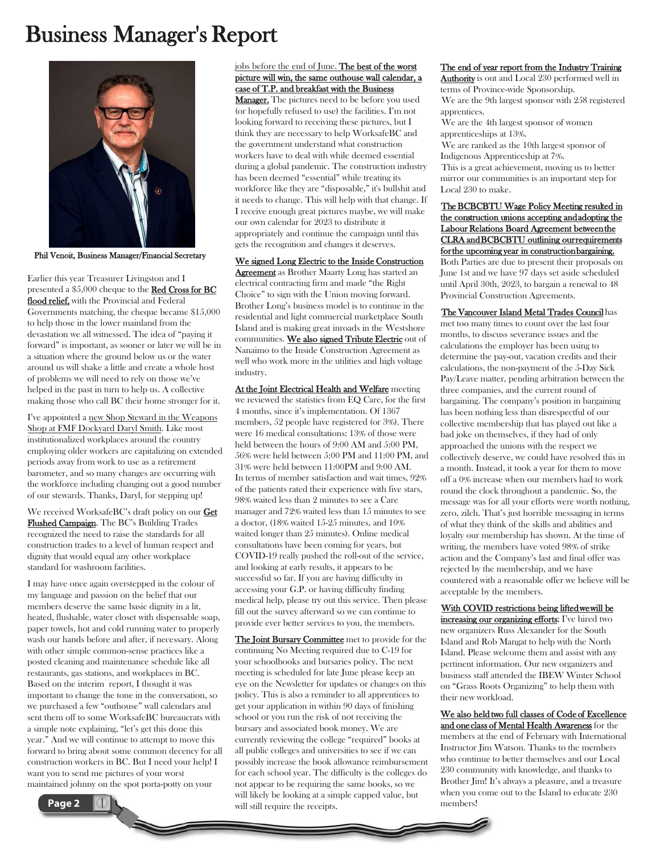### Business Manager's Report



Phil Venoit, Business Manager/Financial Secretary

Earlier this year Treasurer Livingston and I presented a \$5,000 cheque to the Red Cross for BC flood relief, with the Provincial and Federal Governments matching, the cheque became \$15,000 to help those in the lower mainland from the devastation we all witnessed. The idea of "paying it forward" is important, as sooner or later we will be in a situation where the ground below us or the water around us will shake a little and create a whole host of problems we will need to rely on those we've helped in the past in turn to help us. A collective making those who call BC their home stronger for it.

I've appointed a new Shop Steward in the Weapons Shop at FMF Dockyard Daryl Smith. Like most institutionalized workplaces around the country employing older workers are capitalizing on extended periods away from work to use as a retirement barometer, and so many changes are occurring with the workforce including changing out a good number of our stewards. Thanks, Daryl, for stepping up!

We received WorksafeBC's draft policy on our **Get** Flushed Campaign. The BC's Building Trades recognized the need to raise the standards for all construction trades to a level of human respect and dignity that would equal any other workplace standard for washroom facilities.

I may have once again overstepped in the colour of my language and passion on the belief that our members deserve the same basic dignity in a lit, heated, flushable, water closet with dispensable soap, paper towels, hot and cold running water to properly wash our hands before and after, if necessary. Along with other simple common-sense practices like a posted cleaning and maintenance schedule like all restaurants, gas stations, and workplaces in BC. Based on the interim report, I thought it was important to change the tone in the conversation, so we purchased a few "outhouse" wall calendars and sent them off to some WorksafeBC bureaucrats with a simple note explaining, "let's get this done this year." And we will continue to attempt to move this forward to bring about some common decency for all construction workers in BC. But I need your help! I want you to send me pictures of your worst maintained johnny on the spot porta-potty on your



Manager. The pictures need to be before you used (or hopefully refused to use) the facilities. I'm not looking forward to receiving these pictures, but I think they are necessary to help WorksafeBC and the government understand what construction workers have to deal with while deemed essential during a global pandemic. The construction industry has been deemed "essential" while treating its workforce like they are "disposable," it's bullshit and it needs to change. This will help with that change. If I receive enough great pictures maybe, we will make our own calendar for 2023 to distribute it appropriately and continue the campaign until this gets the recognition and changes it deserves.

We signed Long Electric to the Inside Construction **Agreement** as Brother Maarty Long has started an electrical contracting firm and made "the Right Choice" to sign with the Union moving forward. Brother Long's business model is to continue in the residential and light commercial marketplace South Island and is making great inroads in the Westshore communities. We also signed Tribute Electric out of Nanaimo to the Inside Construction Agreement as well who work more in the utilities and high voltage industry.

At the Joint Electrical Health and Welfare meeting we reviewed the statistics from EQ Care, for the first 4 months, since it's implementation. Of 1367 members, 52 people have registered (or 3%). There were 16 medical consultations: 13% of those were held between the hours of 9:00 AM and 5:00 PM, 56% were held between 5:00 PM and 11:00 PM, and 31% were held between 11:00PM and 9:00 AM. In terms of member satisfaction and wait times, 92% of the patients rated their experience with five stars, 98% waited less than 2 minutes to see a Care manager and 72% waited less than 15 minutes to see a doctor, (18% waited 15-25 minutes, and 10% waited longer than 25 minutes). Online medical consultations have been coming for years, but COVID-19 really pushed the roll-out of the service, and looking at early results, it appears to be successful so far. If you are having difficulty in accessing your G.P. or having difficulty finding medical help, please try out this service. Then please fill out the survey afterward so we can continue to provide ever better services to you, the members.

The Joint Bursary Committee met to provide for the continuing No Meeting required due to C-19 for your schoolbooks and bursaries policy. The next meeting is scheduled for late June please keep an eye on the Newsletter for updates or changes on this policy. This is also a reminder to all apprentices to get your application in within 90 days of finishing school or you run the risk of not receiving the bursary and associated book money. We are currently reviewing the college "required" books at all public colleges and universities to see if we can possibly increase the book allowance reimbursement for each school year. The difficulty is the colleges do not appear to be requiring the same books, so we will likely be looking at a simple capped value, but will still require the receipts.

#### The end of year report from the Industry Training

Authority is out and Local 230 performed well in terms of Province-wide Sponsorship. We are the 9th largest sponsor with 258 registered apprentices.

We are the 4th largest sponsor of women apprenticeships at 13%.

We are ranked as the 10th largest sponsor of Indigenous Apprenticeship at 7%.

This is a great achievement, moving us to better mirror our communities is an important step for Local 230 to make.

The BCBCBTU Wage Policy Meeting resulted in the construction unions accepting and adopting the Labour Relations Board Agreement between the CLRA and BCBCBTU outlining our requirements for the upcoming year in construction bargaining. Both Parties are due to present their proposals on June 1st and we have 97 days set aside scheduled until April 30th, 2023, to bargain a renewal to 48 Provincial Construction Agreements.

The Vancouver Island Metal Trades Council has met too many times to count over the last four months, to discuss severance issues and the calculations the employer has been using to determine the pay-out, vacation credits and their calculations, the non-payment of the 5-Day Sick Pay/Leave matter, pending arbitration between the three companies, and the current round of bargaining. The company's position in bargaining has been nothing less than disrespectful of our collective membership that has played out like a bad joke on themselves, if they had of only approached the unions with the respect we collectively deserve, we could have resolved this in a month. Instead, it took a year for them to move off a 0% increase when our members had to work round the clock throughout a pandemic. So, the message was for all your efforts were worth nothing, zero, zilch. That's just horrible messaging in terms of what they think of the skills and abilities and loyalty our membership has shown. At the time of writing, the members have voted 98% of strike action and the Company's last and final offer was rejected by the membership, and we have countered with a reasonable offer we believe will be acceptable by the members.

#### With COVID restrictions being lifted we will be

increasing our organizing efforts; I've hired two new organizers Russ Alexander for the South Island and Rob Mangat to help with the North Island. Please welcome them and assist with any pertinent information. Our new organizers and business staff attended the IBEW Winter School on "Grass Roots Organizing" to help them with their new workload.

#### We also held two full classes of Code of Excellence and one class of Mental Health Awareness for the

members at the end of February with International Instructor Jim Watson. Thanks to the members who continue to better themselves and our Local 230 community with knowledge, and thanks to Brother Jim! It's always a pleasure, and a treasure when you come out to the Island to educate 230 members!

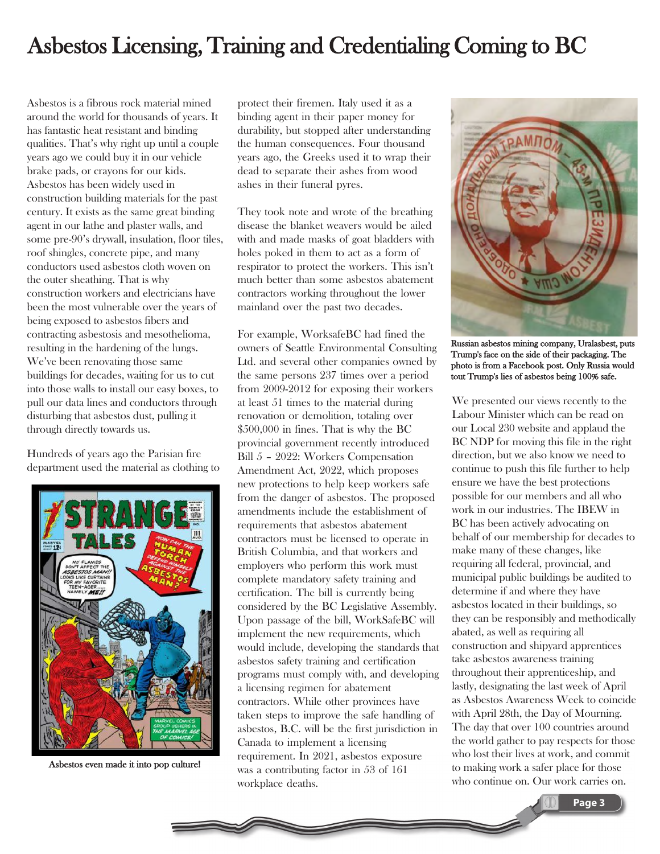### Asbestos Licensing, Training and Credentialing Coming to BC

Asbestos is a fibrous rock material mined around the world for thousands of years. It has fantastic heat resistant and binding qualities. That's why right up until a couple years ago we could buy it in our vehicle brake pads, or crayons for our kids. Asbestos has been widely used in construction building materials for the past century. It exists as the same great binding agent in our lathe and plaster walls, and some pre-90's drywall, insulation, floor tiles, roof shingles, concrete pipe, and many conductors used asbestos cloth woven on the outer sheathing. That is why construction workers and electricians have been the most vulnerable over the years of being exposed to asbestos fibers and contracting asbestosis and mesothelioma, resulting in the hardening of the lungs. We've been renovating those same buildings for decades, waiting for us to cut into those walls to install our easy boxes, to pull our data lines and conductors through disturbing that asbestos dust, pulling it through directly towards us.

Hundreds of years ago the Parisian fire department used the material as clothing to



Asbestos even made it into pop culture!

protect their firemen. Italy used it as a binding agent in their paper money for durability, but stopped after understanding the human consequences. Four thousand years ago, the Greeks used it to wrap their dead to separate their ashes from wood ashes in their funeral pyres.

They took note and wrote of the breathing disease the blanket weavers would be ailed with and made masks of goat bladders with holes poked in them to act as a form of respirator to protect the workers. This isn't much better than some asbestos abatement contractors working throughout the lower mainland over the past two decades.

For example, WorksafeBC had fined the owners of Seattle Environmental Consulting Ltd. and several other companies owned by the same persons 237 times over a period from 2009-2012 for exposing their workers at least 51 times to the material during renovation or demolition, totaling over \$500,000 in fines. That is why the BC provincial government recently introduced Bill 5 – 2022: Workers Compensation Amendment Act, 2022, which proposes new protections to help keep workers safe from the danger of asbestos. The proposed amendments include the establishment of requirements that asbestos abatement contractors must be licensed to operate in British Columbia, and that workers and employers who perform this work must complete mandatory safety training and certification. The bill is currently being considered by the BC Legislative Assembly. Upon passage of the bill, WorkSafeBC will implement the new requirements, which would include, developing the standards that asbestos safety training and certification programs must comply with, and developing a licensing regimen for abatement contractors. While other provinces have taken steps to improve the safe handling of asbestos, B.C. will be the first jurisdiction in Canada to implement a licensing requirement. In 2021, asbestos exposure was a contributing factor in 53 of 161 workplace deaths.



Russian asbestos mining company, Uralasbest, puts Trump's face on the side of their packaging. The photo is from a Facebook post. Only Russia would tout Trump's lies of asbestos being 100% safe.

We presented our views recently to the Labour Minister which can be read on our Local 230 website and applaud the BC NDP for moving this file in the right direction, but we also know we need to continue to push this file further to help ensure we have the best protections possible for our members and all who work in our industries. The IBEW in BC has been actively advocating on behalf of our membership for decades to make many of these changes, like requiring all federal, provincial, and municipal public buildings be audited to determine if and where they have asbestos located in their buildings, so they can be responsibly and methodically abated, as well as requiring all construction and shipyard apprentices take asbestos awareness training throughout their apprenticeship, and lastly, designating the last week of April as Asbestos Awareness Week to coincide with April 28th, the Day of Mourning. The day that over 100 countries around the world gather to pay respects for those who lost their lives at work, and commit to making work a safer place for those who continue on. Our work carries on.